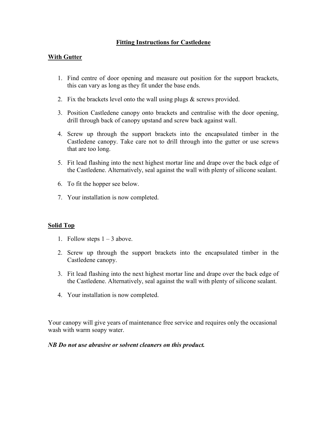## Fitting Instructions for Castledene

## With Gutter

- 1. Find centre of door opening and measure out position for the support brackets, this can vary as long as they fit under the base ends.
- 2. Fix the brackets level onto the wall using plugs  $\&$  screws provided.
- 3. Position Castledene canopy onto brackets and centralise with the door opening, drill through back of canopy upstand and screw back against wall.
- 4. Screw up through the support brackets into the encapsulated timber in the Castledene canopy. Take care not to drill through into the gutter or use screws that are too long.
- 5. Fit lead flashing into the next highest mortar line and drape over the back edge of the Castledene. Alternatively, seal against the wall with plenty of silicone sealant.
- 6. To fit the hopper see below.
- 7. Your installation is now completed.

## Solid Top

- 1. Follow steps  $1 3$  above.
- 2. Screw up through the support brackets into the encapsulated timber in the Castledene canopy.
- 3. Fit lead flashing into the next highest mortar line and drape over the back edge of the Castledene. Alternatively, seal against the wall with plenty of silicone sealant.
- 4. Your installation is now completed.

Your canopy will give years of maintenance free service and requires only the occasional wash with warm soapy water.

## NB Do not use abrasive or solvent cleaners on this product.